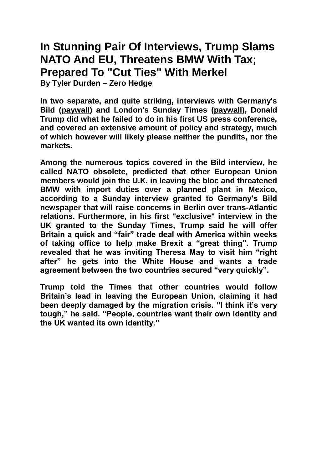## **In Stunning Pair Of Interviews, Trump Slams NATO And EU, Threatens BMW With Tax; Prepared To "Cut Ties" With Merkel**

**By Tyler Durden – Zero Hedge**

**In two separate, and quite striking, interviews with Germany's Bild [\(paywall\)](https://t.co/GlSFzsHZ5W) and London's Sunday Times [\(paywall\)](http://www.thetimes.co.uk/edition/news/donald-trump-interview-brexit-uk-trade-deal-theresa-may-phthbjsmw?CMP=Spklr-_-Editorial-_-TWITTER-_-thetimes-_-20170115-_-778582099&linkId=33419018), Donald Trump did what he failed to do in his first US press conference, and covered an extensive amount of policy and strategy, much of which however will likely please neither the pundits, nor the markets.** 

**Among the numerous topics covered in the Bild interview, he called NATO obsolete, predicted that other European Union members would join the U.K. in leaving the bloc and threatened BMW with import duties over a planned plant in Mexico, according to a Sunday interview granted to Germany's Bild newspaper that will raise concerns in Berlin over trans-Atlantic relations. Furthermore, in his first "exclusive" interview in the UK granted to the Sunday Times, Trump said he will offer Britain a quick and "fair" trade deal with America within weeks of taking office to help make Brexit a "great thing". Trump revealed that he was inviting Theresa May to visit him "right after" he gets into the White House and wants a trade agreement between the two countries secured "very quickly".** 

**Trump told the Times that other countries would follow Britain's lead in leaving the European Union, claiming it had been deeply damaged by the migration crisis. "I think it's very tough," he said. "People, countries want their own identity and the UK wanted its own identity."**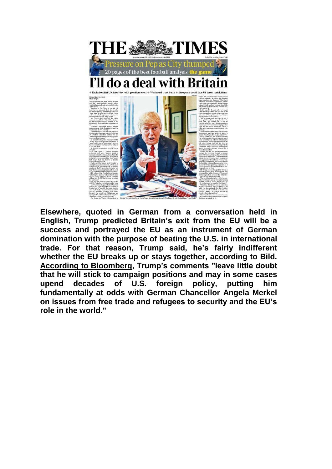

**Elsewhere, quoted in German from a conversation held in English, Trump predicted Britain's exit from the EU will be a success and portrayed the EU as an instrument of German domination with the purpose of beating the U.S. in international trade. For that reason, Trump said, he's fairly indifferent whether the EU breaks up or stays together, according to Bild. [According to Bloomberg,](https://www.bloomberg.com/politics/articles/2017-01-15/trump-calls-nato-obsolete-and-dismisses-eu-in-german-interview) Trump's comments "leave little doubt that he will stick to campaign positions and may in some cases upend decades of U.S. foreign policy, putting him fundamentally at odds with German Chancellor Angela Merkel on issues from free trade and refugees to security and the EU's role in the world."**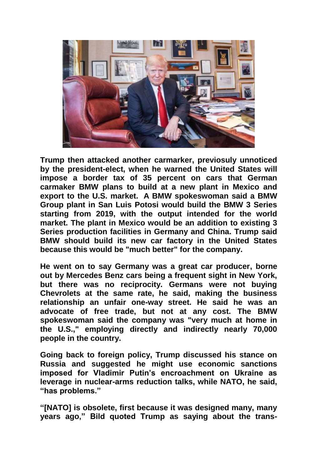

**Trump then attacked another carmarker, previosuly unnoticed by the president-elect, when he warned the United States will impose a border tax of 35 percent on cars that German carmaker BMW plans to build at a new plant in Mexico and export to the U.S. market. A BMW spokeswoman said a BMW Group plant in San Luis Potosi would build the BMW 3 Series starting from 2019, with the output intended for the world market. The plant in Mexico would be an addition to existing 3 Series production facilities in Germany and China. Trump said BMW should build its new car factory in the United States because this would be "much better" for the company.** 

**He went on to say Germany was a great car producer, borne out by Mercedes Benz cars being a frequent sight in New York, but there was no reciprocity. Germans were not buying Chevrolets at the same rate, he said, making the business relationship an unfair one-way street. He said he was an advocate of free trade, but not at any cost. The BMW spokeswoman said the company was "very much at home in the U.S.," employing directly and indirectly nearly 70,000 people in the country.**

**Going back to foreign policy, Trump discussed his stance on Russia and suggested he might use economic sanctions imposed for Vladimir Putin's encroachment on Ukraine as leverage in nuclear-arms reduction talks, while NATO, he said, "has problems."** 

**"[NATO] is obsolete, first because it was designed many, many years ago," Bild quoted Trump as saying about the trans-**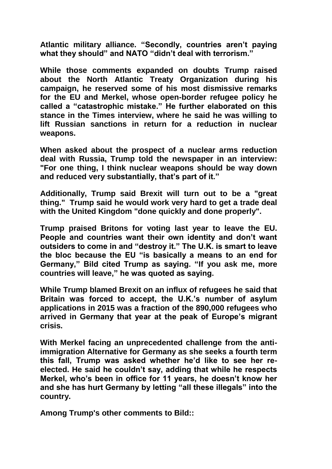**Atlantic military alliance. "Secondly, countries aren't paying what they should" and NATO "didn't deal with terrorism."** 

**While those comments expanded on doubts Trump raised about the North Atlantic Treaty Organization during his campaign, he reserved some of his most dismissive remarks for the EU and Merkel, whose open-border refugee policy he called a "catastrophic mistake." He further elaborated on this stance in the Times interview, where he said he was willing to lift Russian sanctions in return for a reduction in nuclear weapons.** 

**When asked about the prospect of a nuclear arms reduction deal with Russia, Trump told the newspaper in an interview: "For one thing, I think nuclear weapons should be way down and reduced very substantially, that's part of it."**

**Additionally, Trump said Brexit will turn out to be a "great thing." Trump said he would work very hard to get a trade deal with the United Kingdom "done quickly and done properly".** 

**Trump praised Britons for voting last year to leave the EU. People and countries want their own identity and don't want outsiders to come in and "destroy it." The U.K. is smart to leave the bloc because the EU "is basically a means to an end for Germany," Bild cited Trump as saying. "If you ask me, more countries will leave," he was quoted as saying.** 

**While Trump blamed Brexit on an influx of refugees he said that Britain was forced to accept, the U.K.'s number of asylum applications in 2015 was a fraction of the 890,000 refugees who arrived in Germany that year at the peak of Europe's migrant crisis.**

**With Merkel facing an unprecedented challenge from the antiimmigration Alternative for Germany as she seeks a fourth term this fall, Trump was asked whether he'd like to see her reelected. He said he couldn't say, adding that while he respects Merkel, who's been in office for 11 years, he doesn't know her and she has hurt Germany by letting "all these illegals" into the country.**

**Among Trump's other comments to Bild::**